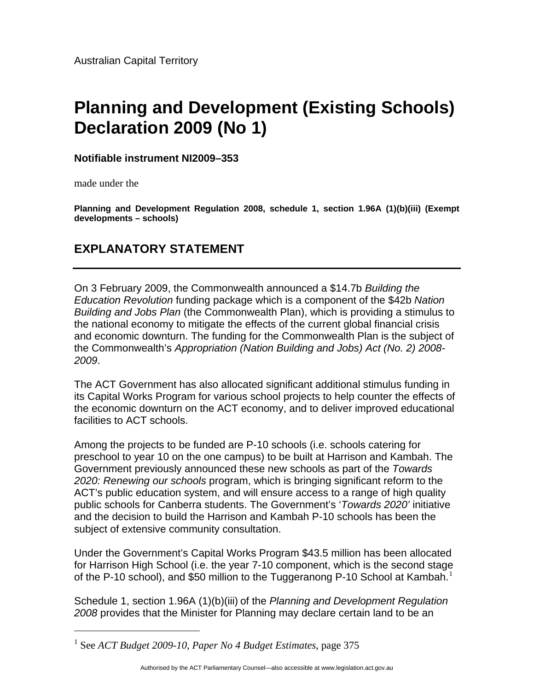## **Planning and Development (Existing Schools) Declaration 2009 (No 1)**

**Notifiable instrument NI2009–353**

made under the

<u>.</u>

**Planning and Development Regulation 2008, schedule 1, section 1.96A (1)(b)(iii) (Exempt developments – schools)**

## **EXPLANATORY STATEMENT**

On 3 February 2009, the Commonwealth announced a \$14.7b *Building the Education Revolution* funding package which is a component of the \$42b *Nation Building and Jobs Plan* (the Commonwealth Plan), which is providing a stimulus to the national economy to mitigate the effects of the current global financial crisis and economic downturn. The funding for the Commonwealth Plan is the subject of the Commonwealth's *Appropriation (Nation Building and Jobs) Act (No. 2) 2008- 2009*.

The ACT Government has also allocated significant additional stimulus funding in its Capital Works Program for various school projects to help counter the effects of the economic downturn on the ACT economy, and to deliver improved educational facilities to ACT schools.

Among the projects to be funded are P-10 schools (i.e. schools catering for preschool to year 10 on the one campus) to be built at Harrison and Kambah. The Government previously announced these new schools as part of the *Towards 2020: Renewing our schools* program, which is bringing significant reform to the ACT's public education system, and will ensure access to a range of high quality public schools for Canberra students. The Government's '*Towards 2020'* initiative and the decision to build the Harrison and Kambah P-10 schools has been the subject of extensive community consultation.

Under the Government's Capital Works Program \$43.5 million has been allocated for Harrison High School (i.e. the year 7-10 component, which is the second stage of the P-[1](#page-0-0)0 school), and \$50 million to the Tuggeranong P-10 School at Kambah.<sup>1</sup>

Schedule 1, section 1.96A (1)(b)(iii) of the *Planning and Development Regulation 2008* provides that the Minister for Planning may declare certain land to be an

<span id="page-0-0"></span><sup>1</sup> See *ACT Budget 2009-10, Paper No 4 Budget Estimates*, page 375